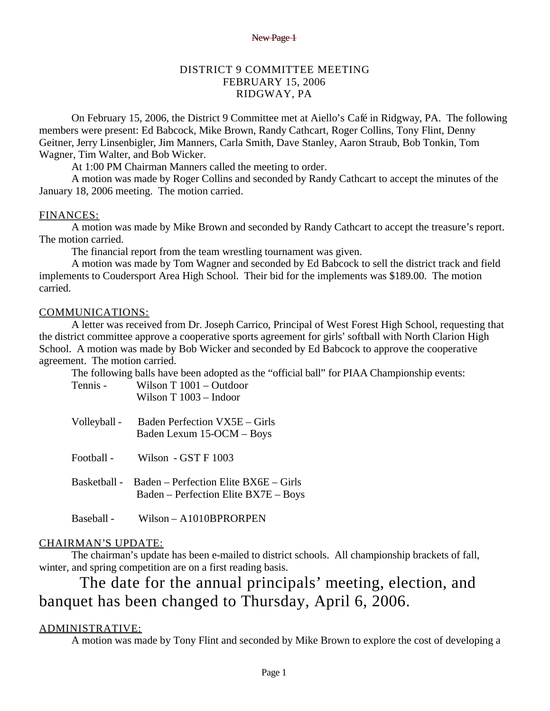### DISTRICT 9 COMMITTEE MEETING FEBRUARY 15, 2006 RIDGWAY, PA

On February 15, 2006, the District 9 Committee met at Aiello's Café in Ridgway, PA. The following members were present: Ed Babcock, Mike Brown, Randy Cathcart, Roger Collins, Tony Flint, Denny Geitner, Jerry Linsenbigler, Jim Manners, Carla Smith, Dave Stanley, Aaron Straub, Bob Tonkin, Tom Wagner, Tim Walter, and Bob Wicker.

At 1:00 PM Chairman Manners called the meeting to order.

A motion was made by Roger Collins and seconded by Randy Cathcart to accept the minutes of the January 18, 2006 meeting. The motion carried.

### FINANCES:

 A motion was made by Mike Brown and seconded by Randy Cathcart to accept the treasure's report. The motion carried.

The financial report from the team wrestling tournament was given.

 A motion was made by Tom Wagner and seconded by Ed Babcock to sell the district track and field implements to Coudersport Area High School. Their bid for the implements was \$189.00. The motion carried.

### COMMUNICATIONS:

 A letter was received from Dr. Joseph Carrico, Principal of West Forest High School, requesting that the district committee approve a cooperative sports agreement for girls' softball with North Clarion High School. A motion was made by Bob Wicker and seconded by Ed Babcock to approve the cooperative agreement. The motion carried.

The following balls have been adopted as the "official ball" for PIAA Championship events:

| Tennis -     | Wilson $T 1001 - Outdoor$<br>Wilson $T 1003 - Indoor$                           |
|--------------|---------------------------------------------------------------------------------|
| Volleyball - | Baden Perfection VX5E – Girls<br>Baden Lexum 15-OCM - Boys                      |
| Football -   | Wilson $-GSTF1003$                                                              |
| Basketball - | $Baden - Perfection Elite BX6E - Girls$<br>Baden – Perfection Elite BX7E – Boys |
| Baseball -   | $Wilson - A1010BPRORPEN$                                                        |

### CHAIRMAN'S UPDATE:

 The chairman's update has been e-mailed to district schools. All championship brackets of fall, winter, and spring competition are on a first reading basis.

# The date for the annual principals' meeting, election, and banquet has been changed to Thursday, April 6, 2006.

### ADMINISTRATIVE:

A motion was made by Tony Flint and seconded by Mike Brown to explore the cost of developing a